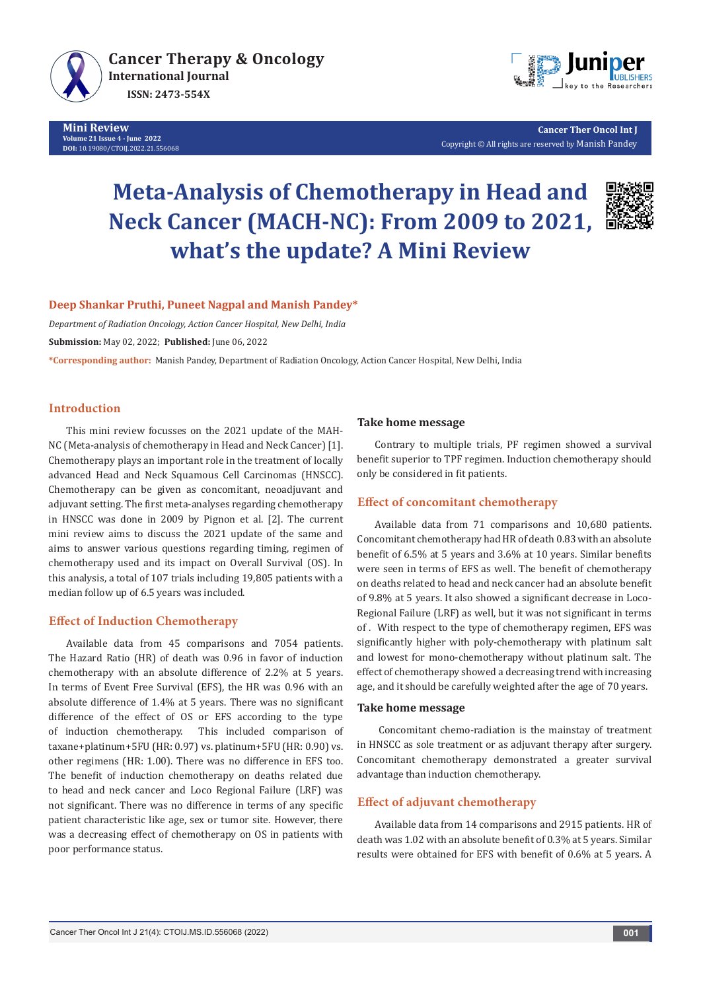

**Mini Review Volume 21 Issue 4 - June 2022 DOI:** [10.19080/CTOIJ.2022.21.55](http://dx.doi.org/10.19080/CTOIJ.2022.21.556068)6068



**Cancer Ther Oncol Int J** Copyright © All rights are reserved by Manish Pandey

# **Meta-Analysis of Chemotherapy in Head and Neck Cancer (MACH-NC): From 2009 to 2021, what's the update? A Mini Review**



## **Deep Shankar Pruthi, Puneet Nagpal and Manish Pandey\***

*Department of Radiation Oncology, Action Cancer Hospital, New Delhi, India*

**Submission:** May 02, 2022; **Published:** June 06, 2022

**\*Corresponding author:** Manish Pandey, Department of Radiation Oncology, Action Cancer Hospital, New Delhi, India

## **Introduction**

This mini review focusses on the 2021 update of the MAH-NC (Meta-analysis of chemotherapy in Head and Neck Cancer) [1]. Chemotherapy plays an important role in the treatment of locally advanced Head and Neck Squamous Cell Carcinomas (HNSCC). Chemotherapy can be given as concomitant, neoadjuvant and adjuvant setting. The first meta-analyses regarding chemotherapy in HNSCC was done in 2009 by Pignon et al. [2]. The current mini review aims to discuss the 2021 update of the same and aims to answer various questions regarding timing, regimen of chemotherapy used and its impact on Overall Survival (OS). In this analysis, a total of 107 trials including 19,805 patients with a median follow up of 6.5 years was included.

## **Effect of Induction Chemotherapy**

Available data from 45 comparisons and 7054 patients. The Hazard Ratio (HR) of death was 0.96 in favor of induction chemotherapy with an absolute difference of 2.2% at 5 years. In terms of Event Free Survival (EFS), the HR was 0.96 with an absolute difference of 1.4% at 5 years. There was no significant difference of the effect of OS or EFS according to the type of induction chemotherapy. This included comparison of taxane+platinum+5FU (HR: 0.97) vs. platinum+5FU (HR: 0.90) vs. other regimens (HR: 1.00). There was no difference in EFS too. The benefit of induction chemotherapy on deaths related due to head and neck cancer and Loco Regional Failure (LRF) was not significant. There was no difference in terms of any specific patient characteristic like age, sex or tumor site. However, there was a decreasing effect of chemotherapy on OS in patients with poor performance status.

#### **Take home message**

Contrary to multiple trials, PF regimen showed a survival benefit superior to TPF regimen. Induction chemotherapy should only be considered in fit patients.

## **Effect of concomitant chemotherapy**

Available data from 71 comparisons and 10,680 patients. Concomitant chemotherapy had HR of death 0.83 with an absolute benefit of 6.5% at 5 years and 3.6% at 10 years. Similar benefits were seen in terms of EFS as well. The benefit of chemotherapy on deaths related to head and neck cancer had an absolute benefit of 9.8% at 5 years. It also showed a significant decrease in Loco-Regional Failure (LRF) as well, but it was not significant in terms of . With respect to the type of chemotherapy regimen, EFS was significantly higher with poly-chemotherapy with platinum salt and lowest for mono-chemotherapy without platinum salt. The effect of chemotherapy showed a decreasing trend with increasing age, and it should be carefully weighted after the age of 70 years.

#### **Take home message**

 Concomitant chemo-radiation is the mainstay of treatment in HNSCC as sole treatment or as adjuvant therapy after surgery. Concomitant chemotherapy demonstrated a greater survival advantage than induction chemotherapy.

## **Effect of adjuvant chemotherapy**

Available data from 14 comparisons and 2915 patients. HR of death was 1.02 with an absolute benefit of 0.3% at 5 years. Similar results were obtained for EFS with benefit of 0.6% at 5 years. A